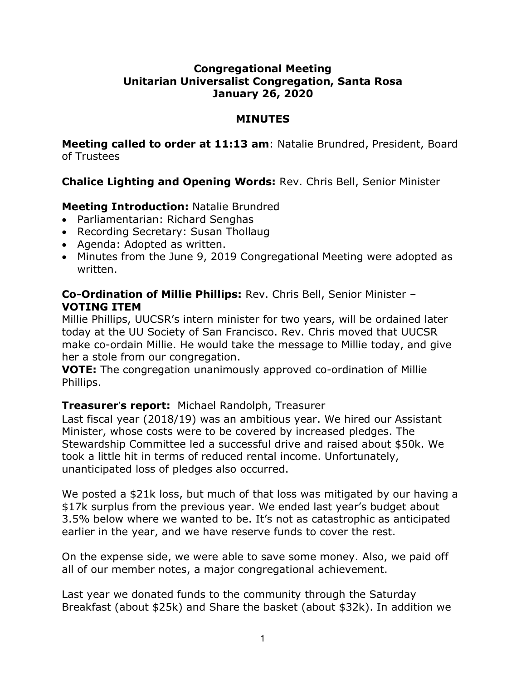### **Congregational Meeting Unitarian Universalist Congregation, Santa Rosa January 26, 2020**

#### **MINUTES**

**Meeting called to order at 11:13 am**: Natalie Brundred, President, Board of Trustees

# **Chalice Lighting and Opening Words:** Rev. Chris Bell, Senior Minister

# **Meeting Introduction:** Natalie Brundred

- Parliamentarian: Richard Senghas
- Recording Secretary: Susan Thollaug
- Agenda: Adopted as written.
- Minutes from the June 9, 2019 Congregational Meeting were adopted as written.

### **Co-Ordination of Millie Phillips:** Rev. Chris Bell, Senior Minister – **VOTING ITEM**

Millie Phillips, UUCSR's intern minister for two years, will be ordained later today at the UU Society of San Francisco. Rev. Chris moved that UUCSR make co-ordain Millie. He would take the message to Millie today, and give her a stole from our congregation.

**VOTE:** The congregation unanimously approved co-ordination of Millie Phillips.

# **Treasurer's report:** Michael Randolph, Treasurer

Last fiscal year (2018/19) was an ambitious year. We hired our Assistant Minister, whose costs were to be covered by increased pledges. The Stewardship Committee led a successful drive and raised about \$50k. We took a little hit in terms of reduced rental income. Unfortunately, unanticipated loss of pledges also occurred.

We posted a \$21k loss, but much of that loss was mitigated by our having a \$17k surplus from the previous year. We ended last year's budget about 3.5% below where we wanted to be. It's not as catastrophic as anticipated earlier in the year, and we have reserve funds to cover the rest.

On the expense side, we were able to save some money. Also, we paid off all of our member notes, a major congregational achievement.

Last year we donated funds to the community through the Saturday Breakfast (about \$25k) and Share the basket (about \$32k). In addition we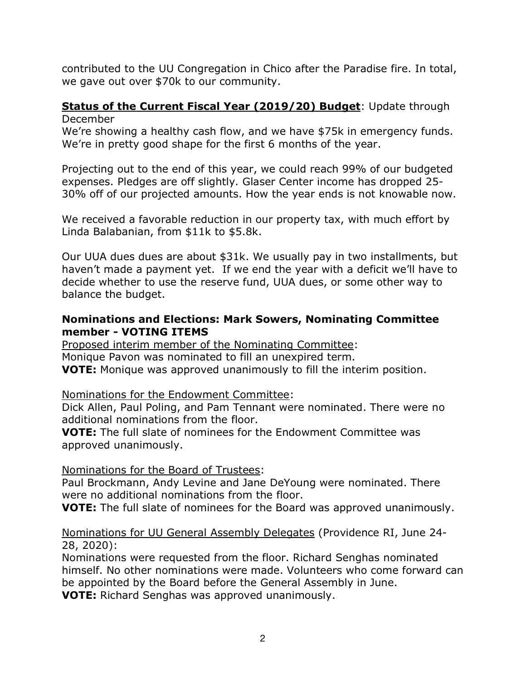contributed to the UU Congregation in Chico after the Paradise fire. In total, we gave out over \$70k to our community.

#### **Status of the Current Fiscal Year (2019/20) Budget**: Update through December

We're showing a healthy cash flow, and we have \$75k in emergency funds. We're in pretty good shape for the first 6 months of the year.

Projecting out to the end of this year, we could reach 99% of our budgeted expenses. Pledges are off slightly. Glaser Center income has dropped 25- 30% off of our projected amounts. How the year ends is not knowable now.

We received a favorable reduction in our property tax, with much effort by Linda Balabanian, from \$11k to \$5.8k.

Our UUA dues dues are about \$31k. We usually pay in two installments, but haven't made a payment yet. If we end the year with a deficit we'll have to decide whether to use the reserve fund, UUA dues, or some other way to balance the budget.

### **Nominations and Elections: Mark Sowers, Nominating Committee member - VOTING ITEMS**

Proposed interim member of the Nominating Committee: Monique Pavon was nominated to fill an unexpired term. **VOTE:** Monique was approved unanimously to fill the interim position.

#### Nominations for the Endowment Committee:

Dick Allen, Paul Poling, and Pam Tennant were nominated. There were no additional nominations from the floor.

**VOTE:** The full slate of nominees for the Endowment Committee was approved unanimously.

# Nominations for the Board of Trustees:

Paul Brockmann, Andy Levine and Jane DeYoung were nominated. There were no additional nominations from the floor.

**VOTE:** The full slate of nominees for the Board was approved unanimously.

### Nominations for UU General Assembly Delegates (Providence RI, June 24- 28, 2020):

Nominations were requested from the floor. Richard Senghas nominated himself. No other nominations were made. Volunteers who come forward can be appointed by the Board before the General Assembly in June. **VOTE:** Richard Senghas was approved unanimously.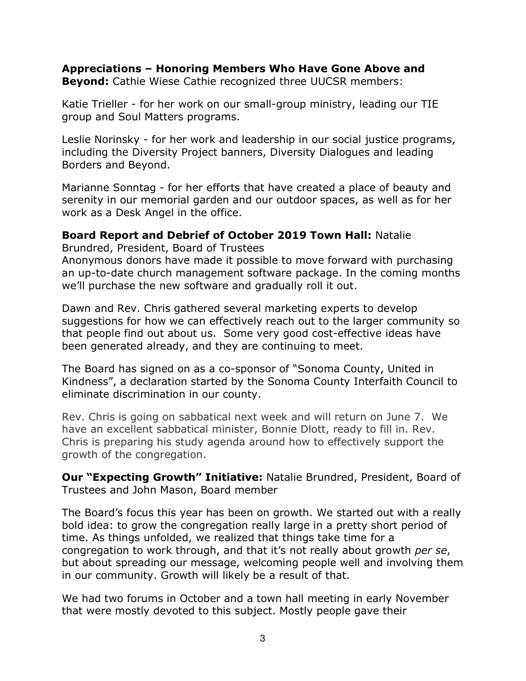# **Appreciations – Honoring Members Who Have Gone Above and**

**Beyond:** Cathie Wiese Cathie recognized three UUCSR members:

Katie Trieller - for her work on our small-group ministry, leading our TIE group and Soul Matters programs.

Leslie Norinsky - for her work and leadership in our social justice programs, including the Diversity Project banners, Diversity Dialogues and leading Borders and Beyond.

Marianne Sonntag - for her efforts that have created a place of beauty and serenity in our memorial garden and our outdoor spaces, as well as for her work as a Desk Angel in the office.

### **Board Report and Debrief of October 2019 Town Hall:** Natalie

Brundred, President, Board of Trustees

Anonymous donors have made it possible to move forward with purchasing an up-to-date church management software package. In the coming months we'll purchase the new software and gradually roll it out.

Dawn and Rev. Chris gathered several marketing experts to develop suggestions for how we can effectively reach out to the larger community so that people find out about us. Some very good cost-effective ideas have been generated already, and they are continuing to meet.

The Board has signed on as a co-sponsor of "Sonoma County, United in Kindness", a declaration started by the Sonoma County Interfaith Council to eliminate discrimination in our county.

Rev. Chris is going on sabbatical next week and will return on June 7. We have an excellent sabbatical minister, Bonnie Dlott, ready to fill in. Rev. Chris is preparing his study agenda around how to effectively support the growth of the congregation.

**Our "Expecting Growth" Initiative:** Natalie Brundred, President, Board of Trustees and John Mason, Board member

The Board's focus this year has been on growth. We started out with a really bold idea: to grow the congregation really large in a pretty short period of time. As things unfolded, we realized that things take time for a congregation to work through, and that it's not really about growth *per se*, but about spreading our message, welcoming people well and involving them in our community. Growth will likely be a result of that.

We had two forums in October and a town hall meeting in early November that were mostly devoted to this subject. Mostly people gave their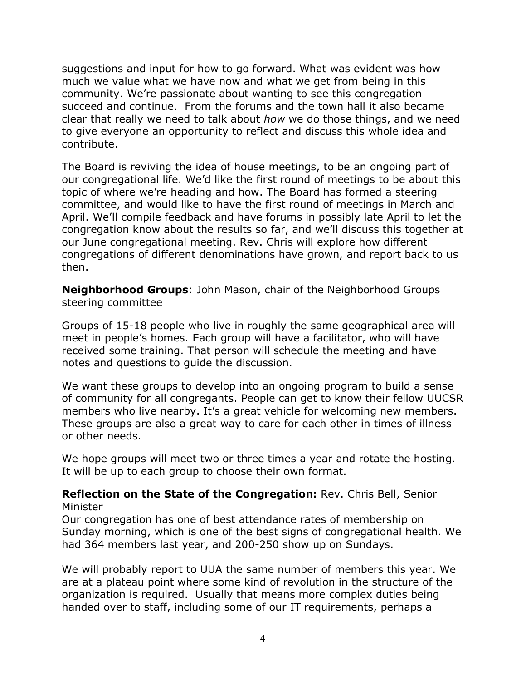suggestions and input for how to go forward. What was evident was how much we value what we have now and what we get from being in this community. We're passionate about wanting to see this congregation succeed and continue. From the forums and the town hall it also became clear that really we need to talk about *how* we do those things, and we need to give everyone an opportunity to reflect and discuss this whole idea and contribute.

The Board is reviving the idea of house meetings, to be an ongoing part of our congregational life. We'd like the first round of meetings to be about this topic of where we're heading and how. The Board has formed a steering committee, and would like to have the first round of meetings in March and April. We'll compile feedback and have forums in possibly late April to let the congregation know about the results so far, and we'll discuss this together at our June congregational meeting. Rev. Chris will explore how different congregations of different denominations have grown, and report back to us then.

**Neighborhood Groups**: John Mason, chair of the Neighborhood Groups steering committee

Groups of 15-18 people who live in roughly the same geographical area will meet in people's homes. Each group will have a facilitator, who will have received some training. That person will schedule the meeting and have notes and questions to guide the discussion.

We want these groups to develop into an ongoing program to build a sense of community for all congregants. People can get to know their fellow UUCSR members who live nearby. It's a great vehicle for welcoming new members. These groups are also a great way to care for each other in times of illness or other needs.

We hope groups will meet two or three times a year and rotate the hosting. It will be up to each group to choose their own format.

#### **Reflection on the State of the Congregation:** Rev. Chris Bell, Senior Minister

Our congregation has one of best attendance rates of membership on Sunday morning, which is one of the best signs of congregational health. We had 364 members last year, and 200-250 show up on Sundays.

We will probably report to UUA the same number of members this year. We are at a plateau point where some kind of revolution in the structure of the organization is required. Usually that means more complex duties being handed over to staff, including some of our IT requirements, perhaps a